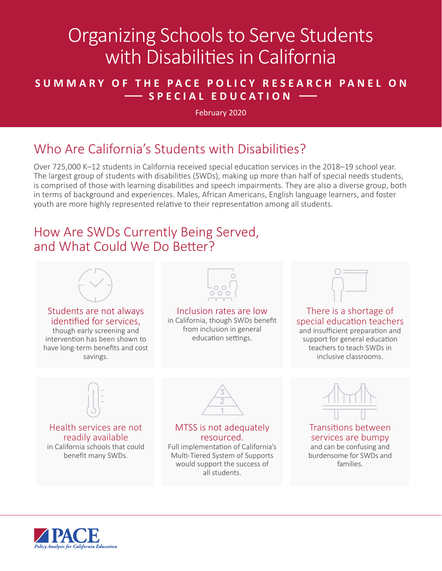# Organizing Schools to Serve Students with Disabilities in California

#### **SUMMARY OF THE PACE POLICY RESEARCH PANEL ON — SPECIAL EDUCATION —**

February 2020

## Who Are California's Students with Disabilities?

Over 725,000 K–12 students in California received special education services in the 2018–19 school year. The largest group of students with disabilities (SWDs), making up more than half of special needs students, is comprised of those with learning disabilities and speech impairments. They are also a diverse group, both in terms of background and experiences. Males, African Americans, English language learners, and foster youth are more highly represented relative to their representation among all students.

#### How Are SWDs Currently Being Served, and What Could We Do Better?



would support the success of all students.